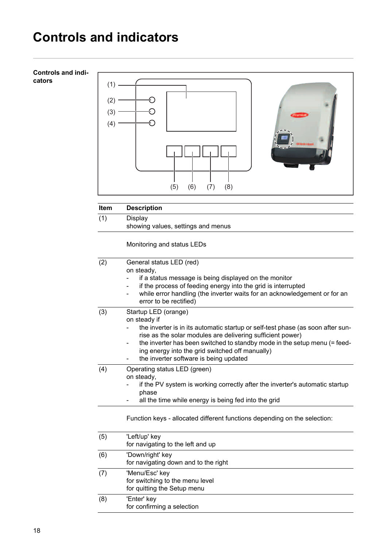## **Controls and indicators**

| <b>Controls and indi-</b><br>cators | (1)<br>(2)<br>(3)<br>(4) | (8)<br>(5)<br>(6)<br>(7)                                                                                                     |
|-------------------------------------|--------------------------|------------------------------------------------------------------------------------------------------------------------------|
|                                     |                          |                                                                                                                              |
|                                     | <b>Item</b>              | <b>Description</b>                                                                                                           |
|                                     | (1)                      | Display<br>showing values, settings and menus                                                                                |
|                                     |                          |                                                                                                                              |
|                                     |                          | Monitoring and status LEDs                                                                                                   |
|                                     | (2)                      | General status LED (red)                                                                                                     |
|                                     |                          | on steady,<br>if a status message is being displayed on the monitor                                                          |
|                                     |                          | if the process of feeding energy into the grid is interrupted                                                                |
|                                     |                          | while error handling (the inverter waits for an acknowledgement or for an                                                    |
|                                     |                          | error to be rectified)                                                                                                       |
|                                     | (3)                      | Startup LED (orange)<br>on steady if                                                                                         |
|                                     |                          | the inverter is in its automatic startup or self-test phase (as soon after sun-                                              |
|                                     |                          | rise as the solar modules are delivering sufficient power)                                                                   |
|                                     |                          | the inverter has been switched to standby mode in the setup menu (= feed-<br>ing energy into the grid switched off manually) |
|                                     |                          | the inverter software is being updated                                                                                       |
|                                     | (4)                      | Operating status LED (green)                                                                                                 |
|                                     |                          | on steady,<br>if the PV system is working correctly after the inverter's automatic startup                                   |
|                                     |                          | phase                                                                                                                        |
|                                     |                          | all the time while energy is being fed into the grid                                                                         |
|                                     |                          | Function keys - allocated different functions depending on the selection:                                                    |
|                                     | (5)                      | 'Left/up' key<br>for navigating to the left and up                                                                           |
|                                     | (6)                      | 'Down/right' key                                                                                                             |
|                                     |                          | for navigating down and to the right                                                                                         |
|                                     | (7)                      | 'Menu/Esc' key                                                                                                               |

for switching to the menu level for quitting the Setup menu (8) 'Enter' key for confirming a selection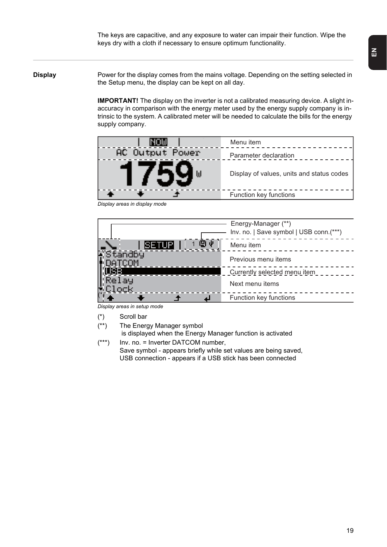The keys are capacitive, and any exposure to water can impair their function. Wipe the keys dry with a cloth if necessary to ensure optimum functionality.

**Display** Power for the display comes from the mains voltage. Depending on the setting selected in the Setup menu, the display can be kept on all day.

> **IMPORTANT!** The display on the inverter is not a calibrated measuring device. A slight inaccuracy in comparison with the energy meter used by the energy supply company is intrinsic to the system. A calibrated meter will be needed to calculate the bills for the energy supply company.

| INOW            | Menu item                                 |
|-----------------|-------------------------------------------|
| AC Output Power | Parameter declaration                     |
| 759             | Display of values, units and status codes |
|                 | Function key functions                    |





*Display areas in setup mode*

- (\*) Scroll bar
- (\*\*) The Energy Manager symbol is displayed when the Energy Manager function is activated
- (\*\*\*) Inv. no. = Inverter DATCOM number, Save symbol - appears briefly while set values are being saved, USB connection - appears if a USB stick has been connected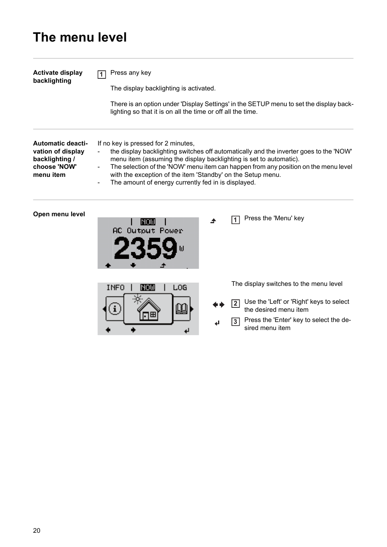# **The menu level**

| <b>Activate display</b><br>backlighting                                                      | Press any key<br>The display backlighting is activated.<br>There is an option under 'Display Settings' in the SETUP menu to set the display back-<br>lighting so that it is on all the time or off all the time.                                                                                                                                                                                                 |  |  |  |
|----------------------------------------------------------------------------------------------|------------------------------------------------------------------------------------------------------------------------------------------------------------------------------------------------------------------------------------------------------------------------------------------------------------------------------------------------------------------------------------------------------------------|--|--|--|
| <b>Automatic deacti-</b><br>vation of display<br>backlighting /<br>choose 'NOW'<br>menu item | If no key is pressed for 2 minutes,<br>the display backlighting switches off automatically and the inverter goes to the 'NOW'<br>menu item (assuming the display backlighting is set to automatic).<br>The selection of the 'NOW' menu item can happen from any position on the menu level<br>with the exception of the item 'Standby' on the Setup menu.<br>The amount of energy currently fed in is displayed. |  |  |  |
| Open menu level                                                                              | Press the 'Menu' key<br>$\overline{1}$<br>ושטויו<br>AC Output Power                                                                                                                                                                                                                                                                                                                                              |  |  |  |
|                                                                                              | The display switches to the menu level<br>LOG<br>INOW<br>INFO<br>Use the 'Left' or 'Right' keys to select<br>$\overline{2}$<br>Ц<br>the desired menu item<br>Press the 'Enter' key to select the de-<br> 3 <br>sired menu item                                                                                                                                                                                   |  |  |  |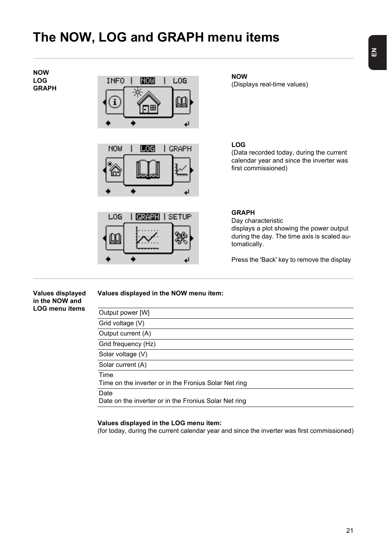## **The NOW, LOG and GRAPH menu items**

**NOW LOG GRAPH**





LOG **GRAPH | SETUP** 1

**NOW** (Displays real-time values)

**LOG** (Data recorded today, during the current calendar year and since the inverter was first commissioned)

#### **GRAPH**

Day characteristic displays a plot showing the power output during the day. The time axis is scaled automatically.

Press the 'Back' key to remove the display

#### **Values displayed in the NOW and LOG menu items Values displayed in the NOW menu item:** Output power [W] Grid voltage (V) Output current (A) Grid frequency (Hz) Solar voltage (V)

Time Time on the inverter or in the Fronius Solar Net ring

Solar current (A)

Date

Date on the inverter or in the Fronius Solar Net ring

### **Values displayed in the LOG menu item:**

(for today, during the current calendar year and since the inverter was first commissioned)